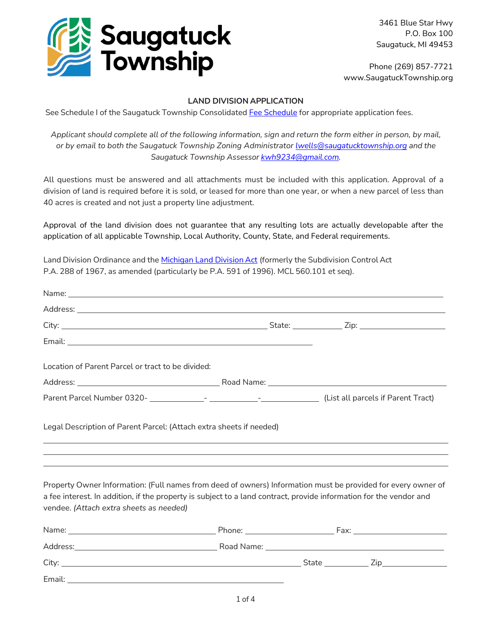

Email:

3461 Blue Star Hwy P.O. Box 100 Saugatuck, MI 49453

Phone (269) 857-7721 www.SaugatuckTownship.org

## **LAND DIVISION APPLICATION**

See [Schedule](http://saugatucktownship.org/kcuTaGuaS/wp-content/uploads/bsk-pdf-manager/NEW_Consolidated_Fees_FINAL_05.01.2022_1517.pdf) I of the Saugatuck Township Consolidated Fee Schedule for appropriate application fees.

*Applicant should complete all of the following information, sign and return the form either in person, by mail, or by email to both the Saugatuck Township Zoning Administrator [lwells@saugatucktownship.org](mailto:lwells@saugatucktownship.org.) and the Saugatuck Township Assessor [kwh9234@gmail.com.](mailto:kwh9234@gmail.com)*

All questions must be answered and all attachments must be included with this application. Approval of a division of land is required before it is sold, or leased for more than one year, or when a new parcel of less than 40 acres is created and not just a property line adjustment.

Approval of the land division does not guarantee that any resulting lots are actually developable after the application of all applicable Township, Local Authority, County, State, and Federal requirements.

Land Division Ordinance and the [Michigan](http://www.legislature.mi.gov/(S(zou1qzlr4sjcxa24zvlbbnnw))/mileg.aspx?page=GetObject&objectname=mcl-Act-288-of-1967) Land Division Act (formerly the Subdivision Control Act P.A. 288 of 1967, as amended (particularly be P.A. 591 of 1996). MCL 560.101 et seq).

| Name: <u>Name:</u> Name: Name: Name: Name: Name: Name: Name: Name: Name: Name: Name: Name: Name: Name: Name: Name: Name: Name: Name: Name: Name: Name: Name: Name: Name: Name: Name: Name: Name: Name: Name: Name: Name: Name: Name                                           |  |  |  |  |
|-------------------------------------------------------------------------------------------------------------------------------------------------------------------------------------------------------------------------------------------------------------------------------|--|--|--|--|
|                                                                                                                                                                                                                                                                               |  |  |  |  |
|                                                                                                                                                                                                                                                                               |  |  |  |  |
|                                                                                                                                                                                                                                                                               |  |  |  |  |
| Location of Parent Parcel or tract to be divided:                                                                                                                                                                                                                             |  |  |  |  |
|                                                                                                                                                                                                                                                                               |  |  |  |  |
|                                                                                                                                                                                                                                                                               |  |  |  |  |
| Legal Description of Parent Parcel: (Attach extra sheets if needed)                                                                                                                                                                                                           |  |  |  |  |
| Property Owner Information: (Full names from deed of owners) Information must be provided for every owner of<br>a fee interest. In addition, if the property is subject to a land contract, provide information for the vendor and<br>vendee. (Attach extra sheets as needed) |  |  |  |  |
|                                                                                                                                                                                                                                                                               |  |  |  |  |
|                                                                                                                                                                                                                                                                               |  |  |  |  |
|                                                                                                                                                                                                                                                                               |  |  |  |  |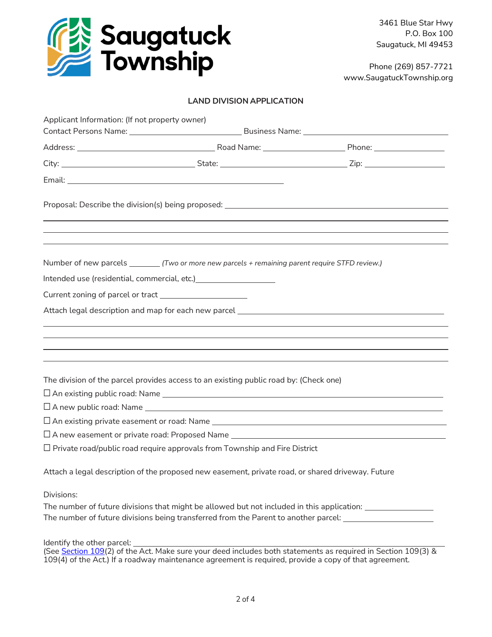

Phone (269) 857-7721 www.SaugatuckTownship.org

## **LAND DIVISION APPLICATION**

| Applicant Information: (If not property owner)                                                      |  |
|-----------------------------------------------------------------------------------------------------|--|
|                                                                                                     |  |
|                                                                                                     |  |
|                                                                                                     |  |
| Proposal: Describe the division(s) being proposed: ______________________________                   |  |
| Number of new parcels _________ (Two or more new parcels + remaining parent require STFD review.)   |  |
| Intended use (residential, commercial, etc.) [18] Montended use (residential, commercial, etc.)     |  |
|                                                                                                     |  |
|                                                                                                     |  |
|                                                                                                     |  |
|                                                                                                     |  |
|                                                                                                     |  |
|                                                                                                     |  |
| The division of the parcel provides access to an existing public road by: (Check one)               |  |
|                                                                                                     |  |
| $\square$ A new public road: Name $\square$                                                         |  |
|                                                                                                     |  |
| □ A new easement or private road: Proposed Name ________________________________                    |  |
| $\Box$ Private road/public road require approvals from Township and Fire District                   |  |
| Attach a legal description of the proposed new easement, private road, or shared driveway. Future   |  |
| Divisions:                                                                                          |  |
| The number of future divisions that might be allowed but not included in this application:          |  |
| The number of future divisions being transferred from the Parent to another parcel: _______________ |  |

Identify the other parcel:

(See [Section 109\(](http://www.legislature.mi.gov/(S(zou1qzlr4sjcxa24zvlbbnnw))/mileg.aspx?page=getobject&objectname=mcl-560-109&query=on&highlight=109)2) of the Act. Make sure your deed includes both statements as required in Section 109(3) &  $109(4)$  of the Act.) If a roadway maintenance agreement is required, provide a copy of that agreement.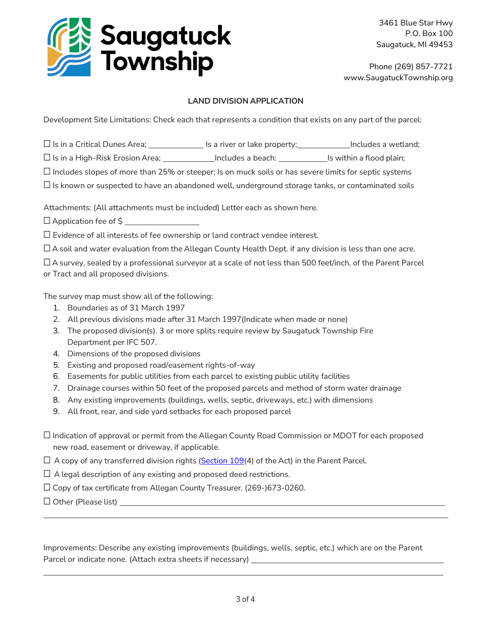

Phone (269) 857-7721 www.SaugatuckTownship.org

## **LAND DIVISION APPLICATION**

Development Site Limitations: Check each that represents a condition that exists on any part of the parcel:

 $\Box$  Is in a Critical Dunes Area;  $\Box$  Is a river or lake property;  $\Box$  Includes a wetland;

□ Is in a High-Risk Erosion Area; \_\_\_\_\_\_\_\_\_\_\_\_\_Includes a beach: \_\_\_\_\_\_\_\_\_\_\_\_\_Is within a flood plain;

☐ Includes slopes of more than 25% or steeper; Is on muck soils or has severe limits for septic systems

 $\Box$  Is known or suspected to have an abandoned well, underground storage tanks, or contaminated soils

Attachments: (All attachments must be included) Letter each as shown here.

□ Application fee of \$ \_\_\_\_\_\_\_\_

☐ Evidence of all interests of fee ownership or land contract vendee interest.

 $\Box$  A soil and water evaluation from the Allegan County Health Dept. if any division is less than one acre.

☐ A survey, sealed by a professional surveyor at a scale of not less than 500 feet/inch, of the Parent Parcel or Tract and all proposed divisions.

The survey map must show all of the following:

- 1. Boundaries as of 31 March 1997
- 2. All previous divisions made after 31 March 1997(Indicate when made or none)
- 3. The proposed division(s). 3 or more splits require review by Saugatuck Township Fire Department per IFC 507.
- 4. Dimensions of the proposed divisions
- 5. Existing and proposed road/easement rights-of-way
- 6. Easements for public utilities from each parcel to existing public utility facilities
- 7. Drainage courses within 50 feet of the proposed parcels and method of storm water drainage
- 8. Any existing improvements (buildings, wells, septic, driveways, etc.) with dimensions
- 9. All front, rear, and side yard setbacks for each proposed parcel
- ☐ Indication of approval or permit from the Allegan County Road Commission or MDOT for each proposed new road, easement or driveway, if applicable.

 $\Box$  A copy of any transferred division rights [\(Section](http://www.legislature.mi.gov/(S(zou1qzlr4sjcxa24zvlbbnnw))/mileg.aspx?page=getobject&objectname=mcl-560-109&query=on&highlight=109) 109(4) of the Act) in the Parent Parcel.

 $\Box$  A legal description of any existing and proposed deed restrictions.

☐ Copy of tax certificate from Allegan County Treasurer. (269-)673-0260.

 $\Box$  Other (Please list)

Improvements: Describe any existing improvements (buildings, wells, septic, etc.) which are on the Parent Parcel or indicate none. (Attach extra sheets if necessary)